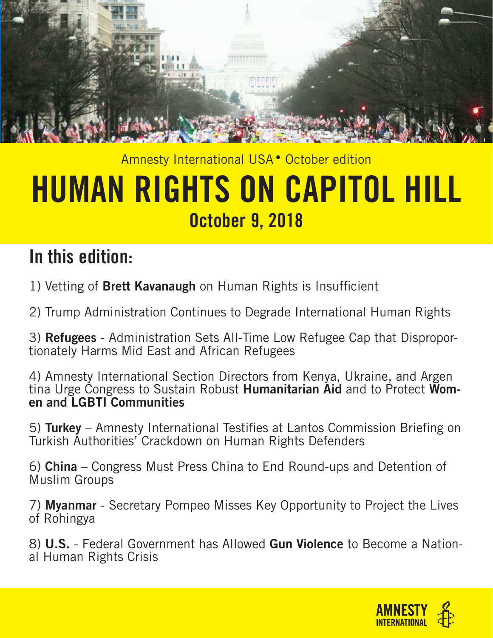

## Amnesty International USA • October edition HUMAN RIGHTS ON CAPITOL HILL October 9, 2018

## In this edition:

1) Vetting of **Brett Kavanaugh** on Human Rights is Insufficient

2) Trump Administration Continues to Degrade International Human Rights

3) **Refugees** - Administration Sets All-Time Low Refugee Cap that Disproportionately Harms Mid East and African Refugees

4) Amnesty International Section Directors from Kenya, Ukraine, and Argen tina Urge Congress to Sustain Robust **Humanitarian Aid** and to Protect Women and LGBTI Communities

5) Turkey – Amnesty International Testifies at Lantos Commission Briefing on Turkish Authorities' Crackdown on Human Rights Defenders

6) China – Congress Must Press China to End Round-ups and Detention of Muslim Groups

7) Myanmar - Secretary Pompeo Misses Key Opportunity to Project the Lives of Rohingya

8) U.S. - Federal Government has Allowed Gun Violence to Become a National Human Rights Crisis

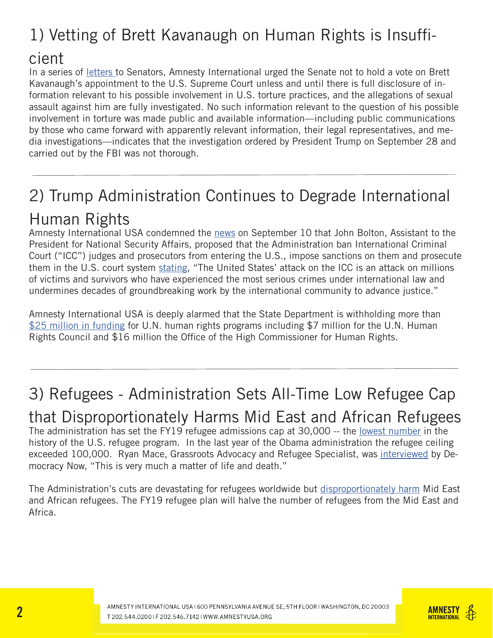## 1) Vetting of Brett Kavanaugh on Human Rights is Insuffi-

#### cient

In a series of letters to Senators, Amnesty International urged the Senate not to hold a vote on Brett Kavanaugh's appointment to the U.S. Supreme Court unless and until there is full disclosure of information relevant to his possible involvement in U.S. torture practices, and the allegations of sexual assault against him are fully investigated. No such information relevant to the question of his possible involvement in torture was made public and available information—including public communications by those who came forward with apparently relevant information, their legal representatives, and media investigations—indicates that the investigation ordered by President Trump on September 28 and carried out by the FBI was not thorough.

## 2) Trump Administration Continues to Degrade International Human Rights

Amnesty International USA condemned the news on September 10 that John Bolton, Assistant to the President for National Security Affairs, proposed that the Administration ban International Criminal Court ("ICC") judges and prosecutors from entering the U.S., impose sanctions on them and prosecute them in the U.S. court system stating, "The United States' attack on the ICC is an attack on millions of victims and survivors who have experienced the most serious crimes under international law and undermines decades of groundbreaking work by the international community to advance justice."

Amnesty International USA is deeply alarmed that the State Department is withholding more than \$25 million in funding for U.N. human rights programs including \$7 million for the U.N. Human Rights Council and \$16 million the Office of the High Commissioner for Human Rights.

## 3) Refugees - Administration Sets All-Time Low Refugee Cap

that Disproportionately Harms Mid East and African Refugees The administration has set the FY19 refugee admissions cap at 30,000 -- the lowest number in the history of the U.S. refugee program. In the last year of the Obama administration the refugee ceiling exceeded 100,000. Ryan Mace, Grassroots Advocacy and Refugee Specialist, was interviewed by Democracy Now, "This is very much a matter of life and death."

The Administration's cuts are devastating for refugees worldwide but disproportionately harm Mid East and African refugees. The FY19 refugee plan will halve the number of refugees from the Mid East and Africa.

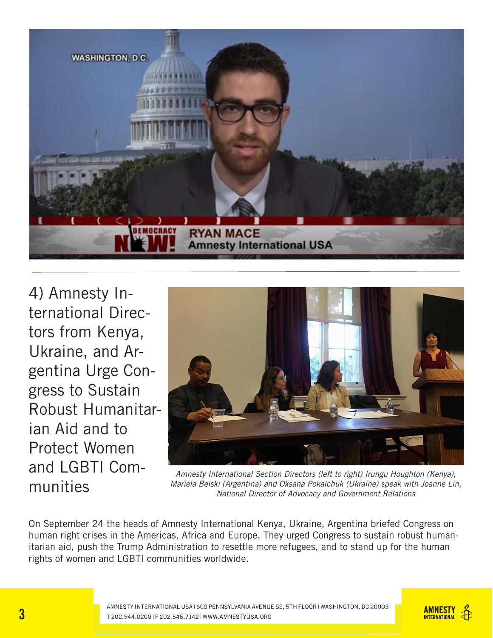

4) Amnesty International Directors from Kenya, Ukraine, and Argentina Urge Congress to Sustain Robust Humanitarian Aid and to Protect Women and LGBTI Communities



*Amnesty International Section Directors (left to right) Irungu Houghton (Kenya), Mariela Belski (Argentina) and Oksana Pokalchuk (Ukraine) speak with Joanne Lin, National Director of Advocacy and Government Relations*

On September 24 the heads of Amnesty International Kenya, Ukraine, Argentina briefed Congress on human right crises in the Americas, Africa and Europe. They urged Congress to sustain robust humanitarian aid, push the Trump Administration to resettle more refugees, and to stand up for the human rights of women and LGBTI communities worldwide.

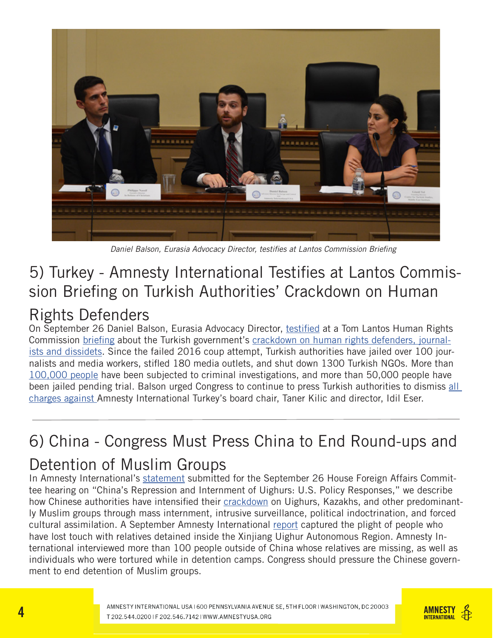

Daniel Balson, Eurasia Advocacy Director, testifies at Lantos Commission Briefing

#### 5) Turkey - Amnesty International Testifies at Lantos Commission Briefing on Turkish Authorities' Crackdown on Human

#### Rights Defenders

On September 26 Daniel Balson, Eurasia Advocacy Director, testified at a Tom Lantos Human Rights Commission briefing about the Turkish government's crackdown on human rights defenders, journalists and dissidets. Since the failed 2016 coup attempt, Turkish authorities have jailed over 100 journalists and media workers, stifled 180 media outlets, and shut down 1300 Turkish NGOs. More than 100,000 people have been subjected to criminal investigations, and more than 50,000 people have been jailed pending trial. Balson urged Congress to continue to press Turkish authorities to dismiss all charges against Amnesty International Turkey's board chair, Taner Kilic and director, Idil Eser.

## 6) China - Congress Must Press China to End Round-ups and

#### Detention of Muslim Groups

In Amnesty International's statement submitted for the September 26 House Foreign Affairs Committee hearing on "China's Repression and Internment of Uighurs: U.S. Policy Responses," we describe how Chinese authorities have intensified their crackdown on Uighurs, Kazakhs, and other predominantly Muslim groups through mass internment, intrusive surveillance, political indoctrination, and forced cultural assimilation. A September Amnesty International report captured the plight of people who have lost touch with relatives detained inside the Xinjiang Uighur Autonomous Region. Amnesty International interviewed more than 100 people outside of China whose relatives are missing, as well as individuals who were tortured while in detention camps. Congress should pressure the Chinese government to end detention of Muslim groups.